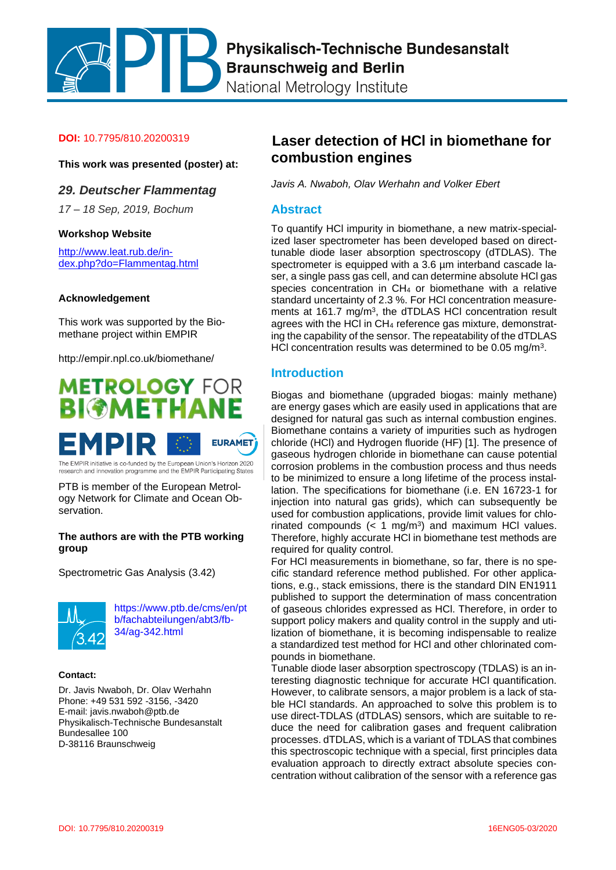Physikalisch-Technische Bundesanstalt **Braunschweig and Berlin** 

National Metrology Institute

#### **DOI:** 10.7795/810.20200319

**This work was presented (poster) at:**

### *29. Deutscher Flammentag*

*17 – 18 Sep, 2019, Bochum*

#### **Workshop Website**

[http://www.leat.rub.de/in](http://www.leat.rub.de/index.php?do=Flammentag.html)[dex.php?do=Flammentag.html](http://www.leat.rub.de/index.php?do=Flammentag.html)

#### **Acknowledgement**

This work was supported by the Biomethane project within EMPIR

http://empir.npl.co.uk/biomethane/



The EMPIR initiative is co-funded by the European Union's Horizon 2020<br>research and innovation programme and the EMPIR Participating States

PTB is member of the European Metrology Network for Climate and Ocean Observation.

### **The authors are with the PTB working group**

Spectrometric Gas Analysis (3.42)



[https://www.ptb.de/cms/en/pt](https://www.ptb.de/cms/en/ptb/fachabteilungen/abt3/fb-34/ag-342.html) [b/fachabteilungen/abt3/fb-](https://www.ptb.de/cms/en/ptb/fachabteilungen/abt3/fb-34/ag-342.html)[34/ag-342.html](https://www.ptb.de/cms/en/ptb/fachabteilungen/abt3/fb-34/ag-342.html)

#### **Contact:**

Dr. Javis Nwaboh, Dr. Olav Werhahn Phone: +49 531 592 -3156, -3420 E-mail: javis.nwaboh@ptb.de Physikalisch-Technische Bundesanstalt Bundesallee 100 D-38116 Braunschweig

# **Laser detection of HCl in biomethane for combustion engines**

*Javis A. Nwaboh, Olav Werhahn and Volker Ebert*

### **Abstract**

To quantify HCl impurity in biomethane, a new matrix-specialized laser spectrometer has been developed based on directtunable diode laser absorption spectroscopy (dTDLAS). The spectrometer is equipped with a 3.6  $\mu$ m interband cascade laser, a single pass gas cell, and can determine absolute HCl gas species concentration in CH<sup>4</sup> or biomethane with a relative standard uncertainty of 2.3 %. For HCl concentration measurements at 161.7 mg/m<sup>3</sup>, the dTDLAS HCI concentration result agrees with the HCI in CH<sub>4</sub> reference gas mixture, demonstrating the capability of the sensor. The repeatability of the dTDLAS HCI concentration results was determined to be 0.05 mg/m<sup>3</sup>.

### **Introduction**

Biogas and biomethane (upgraded biogas: mainly methane) are energy gases which are easily used in applications that are designed for natural gas such as internal combustion engines. Biomethane contains a variety of impurities such as hydrogen chloride (HCl) and Hydrogen fluoride (HF) [1]. The presence of gaseous hydrogen chloride in biomethane can cause potential corrosion problems in the combustion process and thus needs to be minimized to ensure a long lifetime of the process installation. The specifications for biomethane (i.e. EN 16723-1 for injection into natural gas grids), which can subsequently be used for combustion applications, provide limit values for chlorinated compounds  $(< 1 \text{ mg/m}^3)$  and maximum HCl values. Therefore, highly accurate HCl in biomethane test methods are required for quality control.

For HCl measurements in biomethane, so far, there is no specific standard reference method published. For other applications, e.g., stack emissions, there is the standard DIN EN1911 published to support the determination of mass concentration of gaseous chlorides expressed as HCl. Therefore, in order to support policy makers and quality control in the supply and utilization of biomethane, it is becoming indispensable to realize a standardized test method for HCl and other chlorinated compounds in biomethane.

Tunable diode laser absorption spectroscopy (TDLAS) is an interesting diagnostic technique for accurate HCl quantification. However, to calibrate sensors, a major problem is a lack of stable HCl standards. An approached to solve this problem is to use direct-TDLAS (dTDLAS) sensors, which are suitable to reduce the need for calibration gases and frequent calibration processes. dTDLAS, which is a variant of TDLAS that combines this spectroscopic technique with a special, first principles data evaluation approach to directly extract absolute species concentration without calibration of the sensor with a reference gas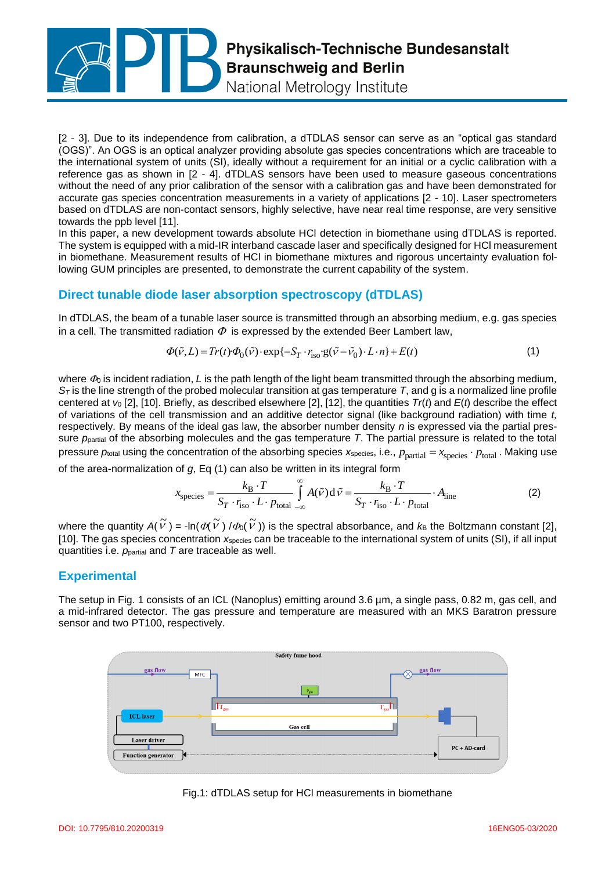

[2 - 3]. Due to its independence from calibration, a dTDLAS sensor can serve as an "optical gas standard (OGS)". An OGS is an optical analyzer providing absolute gas species concentrations which are traceable to the international system of units (SI), ideally without a requirement for an initial or a cyclic calibration with a reference gas as shown in [2 - 4]. dTDLAS sensors have been used to measure gaseous concentrations without the need of any prior calibration of the sensor with a calibration gas and have been demonstrated for accurate gas species concentration measurements in a variety of applications [2 - 10]. Laser spectrometers based on dTDLAS are non-contact sensors, highly selective, have near real time response, are very sensitive towards the ppb level [11].

In this paper, a new development towards absolute HCl detection in biomethane using dTDLAS is reported. The system is equipped with a mid-IR interband cascade laser and specifically designed for HCl measurement in biomethane. Measurement results of HCl in biomethane mixtures and rigorous uncertainty evaluation following GUM principles are presented, to demonstrate the current capability of the system.

## **Direct tunable diode laser absorption spectroscopy (dTDLAS)**

In dTDLAS, the beam of a tunable laser source is transmitted through an absorbing medium, e.g. gas species in a cell. The transmitted radiation  $\Phi$  is expressed by the extended Beer Lambert law,<br>  $\Phi(\tilde{v}, L) = Tr(t) \cdot \Phi_0(\tilde{v}) \cdot \exp\{-S_T \cdot r_{\text{iso}} \cdot g(\tilde{v} - \tilde{v}_0) \cdot L \cdot n\} + E(t)$ 

$$
\Phi(\tilde{v}, L) = Tr(t) \Phi_0(\tilde{v}) \cdot \exp\{-S_T \cdot r_{\text{iso}} \cdot g(\tilde{v} - \tilde{v}_0) \cdot L \cdot n\} + E(t)
$$
\n<sup>(1)</sup>

where  $\Phi_0$  is incident radiation, L is the path length of the light beam transmitted through the absorbing medium, *S<sup>T</sup>* is the line strength of the probed molecular transition at gas temperature *T*, and g is a normalized line profile centered at *v*<sup>0</sup> [2], [10]. Briefly, as described elsewhere [2], [12], the quantities *Tr*(*t*) and *E*(*t*) describe the effect of variations of the cell transmission and an additive detector signal (like background radiation) with time *t,*  respectively*.* By means of the ideal gas law, the absorber number density *n* is expressed via the partial pressure *p*partial of the absorbing molecules and the gas temperature *T*. The partial pressure is related to the total pressure  $p_{\text{total}}$  using the concentration of the absorbing species  $x_{\text{species}}$ , i.e.,  $p_{\text{partial}} = x_{\text{species}} \cdot p_{\text{total}}$ . Making use

of the area-normalization of g, Eq (1) can also be written in its integral form  
\n
$$
x_{\text{species}} = \frac{k_{\text{B}} \cdot T}{S_T \cdot r_{\text{iso}} \cdot L \cdot p_{\text{total}}} \int_{-\infty}^{\infty} A(\tilde{v}) d\tilde{v} = \frac{k_{\text{B}} \cdot T}{S_T \cdot r_{\text{iso}} \cdot L \cdot p_{\text{total}}}
$$
\n(2)

where the quantity  $A(\tilde{V}) = -\ln(\phi(\tilde{V}) / \phi_0(\tilde{V}))$  is the spectral absorbance, and  $k_B$  the Boltzmann constant [2], [10]. The gas species concentration  $x_{\text{species}}$  can be traceable to the international system of units (SI), if all input quantities i.e. *p*partial and *T* are traceable as well.

### **Experimental**

The setup in Fig. 1 consists of an ICL (Nanoplus) emitting around 3.6 µm, a single pass, 0.82 m, gas cell, and a mid-infrared detector. The gas pressure and temperature are measured with an MKS Baratron pressure sensor and two PT100, respectively.



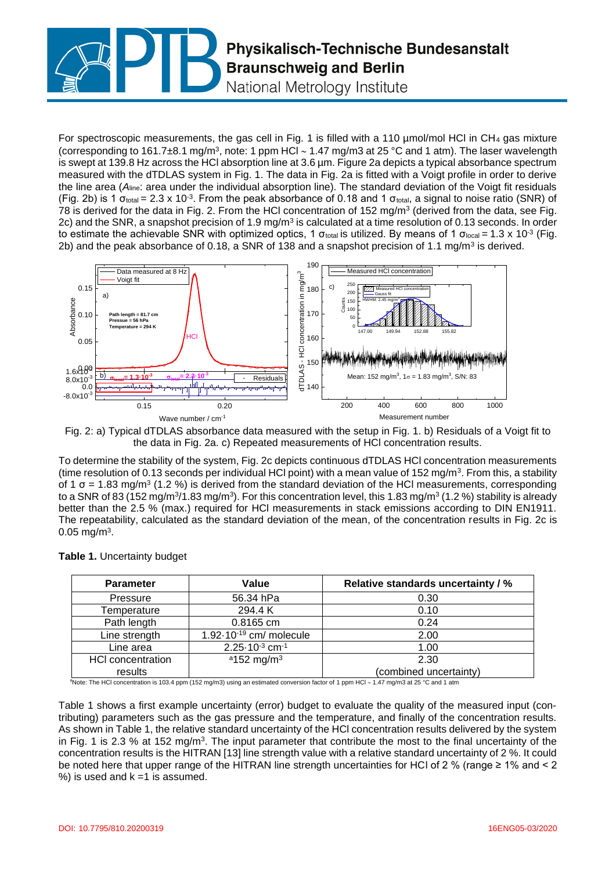

For spectroscopic measurements, the gas cell in Fig. 1 is filled with a 110  $\mu$ mol/mol HCl in CH<sub>4</sub> gas mixture (corresponding to 161.7 $\pm$ 8.1 mg/m<sup>3</sup>, note: 1 ppm HCl  $\sim$  1.47 mg/m3 at 25 °C and 1 atm). The laser wavelength is swept at 139.8 Hz across the HCl absorption line at 3.6 µm. Figure 2a depicts a typical absorbance spectrum measured with the dTDLAS system in Fig. 1. The data in Fig. 2a is fitted with a Voigt profile in order to derive the line area (*A*line: area under the individual absorption line). The standard deviation of the Voigt fit residuals (Fig. 2b) is 1  $\sigma_{\text{total}}$  = 2.3 x 10<sup>-3</sup>. From the peak absorbance of 0.18 and 1  $\sigma_{\text{total}}$ , a signal to noise ratio (SNR) of 78 is derived for the data in Fig. 2. From the HCI concentration of 152 mg/m<sup>3</sup> (derived from the data, see Fig. 2c) and the SNR, a snapshot precision of 1.9 mg/m<sup>3</sup> is calculated at a time resolution of 0.13 seconds. In order to estimate the achievable SNR with optimized optics, 1 σ<sub>total</sub> is utilized. By means of 1 σ<sub>local</sub> = 1.3 x 10<sup>-3</sup> (Fig. 2b) and the peak absorbance of 0.18, a SNR of 138 and a snapshot precision of 1.1 mg/m<sup>3</sup> is derived.



Fig. 2: a) Typical dTDLAS absorbance data measured with the setup in Fig. 1. b) Residuals of a Voigt fit to the data in Fig. 2a. c) Repeated measurements of HCl concentration results.

To determine the stability of the system, Fig. 2c depicts continuous dTDLAS HCl concentration measurements (time resolution of 0.13 seconds per individual HCI point) with a mean value of 152 mg/m<sup>3</sup>. From this, a stability of 1  $\sigma$  = 1.83 mg/m<sup>3</sup> (1.2 %) is derived from the standard deviation of the HCI measurements, corresponding to a SNR of 83 (152 mg/m $3/1.83$  mg/m $3$ ). For this concentration level, this 1.83 mg/m $^3$  (1.2 %) stability is already better than the 2.5 % (max.) required for HCl measurements in stack emissions according to DIN EN1911. The repeatability, calculated as the standard deviation of the mean, of the concentration results in Fig. 2c is  $0.05 \text{ mg/m}^3$ .

| <b>Parameter</b>         | Value                                              | <b>Relative standards uncertainty / %</b> |
|--------------------------|----------------------------------------------------|-------------------------------------------|
| Pressure                 | 56.34 hPa                                          | 0.30                                      |
| Temperature              | 294.4 K                                            | 0.10                                      |
| Path length              | $0.8165$ cm                                        | 0.24                                      |
| Line strength            | 1.92 $\cdot$ 10 $\cdot$ <sup>19</sup> cm/ molecule | 2.00                                      |
| Line area                | $2.25 \cdot 10^{-3}$ cm <sup>-1</sup>              | 1.00                                      |
| <b>HCI</b> concentration | $a$ 152 mg/m <sup>3</sup>                          | 2.30                                      |
| results                  |                                                    | (combined uncertainty)                    |

**Table 1.** Uncertainty budget

<sup>a</sup>Note: The HCl concentration is 103.4 ppm (152 mg/m3) using an estimated conversion factor of 1 ppm HCl  $\sim$  1.47 mg/m3 at 25 °C and 1 atm

Table 1 shows a first example uncertainty (error) budget to evaluate the quality of the measured input (contributing) parameters such as the gas pressure and the temperature, and finally of the concentration results. As shown in Table 1, the relative standard uncertainty of the HCl concentration results delivered by the system in Fig. 1 is 2.3 % at 152 mg/m<sup>3</sup>. The input parameter that contribute the most to the final uncertainty of the concentration results is the HITRAN [13] line strength value with a relative standard uncertainty of 2 %. It could be noted here that upper range of the HITRAN line strength uncertainties for HCl of 2 % (range ≥ 1% and < 2  $%$ ) is used and  $k = 1$  is assumed.